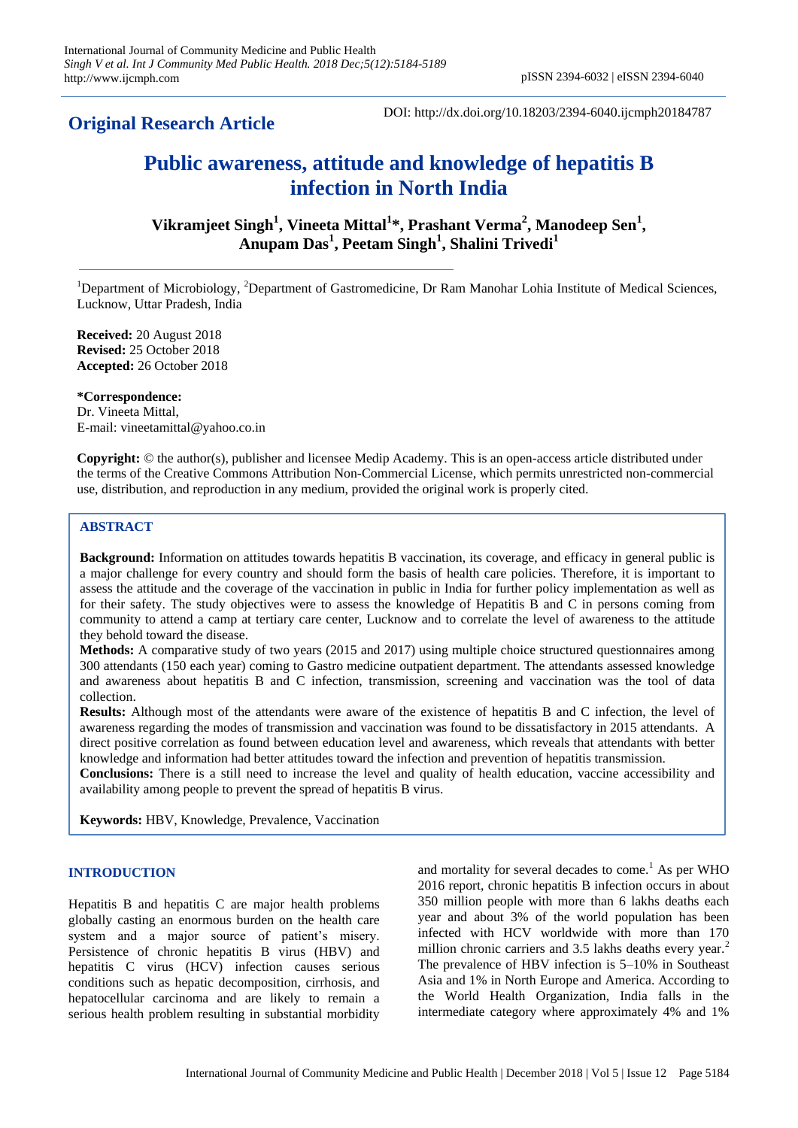**Original Research Article**

DOI: http://dx.doi.org/10.18203/2394-6040.ijcmph20184787

# **Public awareness, attitude and knowledge of hepatitis B infection in North India**

**Vikramjeet Singh<sup>1</sup> , Vineeta Mittal<sup>1</sup> \*, Prashant Verma<sup>2</sup> , Manodeep Sen<sup>1</sup> , Anupam Das<sup>1</sup> , Peetam Singh<sup>1</sup> , Shalini Trivedi<sup>1</sup>**

<sup>1</sup>Department of Microbiology, <sup>2</sup>Department of Gastromedicine, Dr Ram Manohar Lohia Institute of Medical Sciences, Lucknow, Uttar Pradesh, India

**Received:** 20 August 2018 **Revised:** 25 October 2018 **Accepted:** 26 October 2018

**\*Correspondence:** Dr. Vineeta Mittal, E-mail: vineetamittal@yahoo.co.in

**Copyright:** © the author(s), publisher and licensee Medip Academy. This is an open-access article distributed under the terms of the Creative Commons Attribution Non-Commercial License, which permits unrestricted non-commercial use, distribution, and reproduction in any medium, provided the original work is properly cited.

# **ABSTRACT**

**Background:** Information on attitudes towards hepatitis B vaccination, its coverage, and efficacy in general public is a major challenge for every country and should form the basis of health care policies. Therefore, it is important to assess the attitude and the coverage of the vaccination in public in India for further policy implementation as well as for their safety. The study objectives were to assess the knowledge of Hepatitis B and C in persons coming from community to attend a camp at tertiary care center, Lucknow and to correlate the level of awareness to the attitude they behold toward the disease.

**Methods:** A comparative study of two years (2015 and 2017) using multiple choice structured questionnaires among 300 attendants (150 each year) coming to Gastro medicine outpatient department. The attendants assessed knowledge and awareness about hepatitis B and C infection, transmission, screening and vaccination was the tool of data collection.

**Results:** Although most of the attendants were aware of the existence of hepatitis B and C infection, the level of awareness regarding the modes of transmission and vaccination was found to be dissatisfactory in 2015 attendants. A direct positive correlation as found between education level and awareness, which reveals that attendants with better knowledge and information had better attitudes toward the infection and prevention of hepatitis transmission.

**Conclusions:** There is a still need to increase the level and quality of health education, vaccine accessibility and availability among people to prevent the spread of hepatitis B virus.

**Keywords:** HBV, Knowledge, Prevalence, Vaccination

# **INTRODUCTION**

Hepatitis B and hepatitis C are major health problems globally casting an enormous burden on the health care system and a major source of patient's misery. Persistence of chronic hepatitis B virus (HBV) and hepatitis C virus (HCV) infection causes serious conditions such as hepatic decomposition, cirrhosis, and hepatocellular carcinoma and are likely to remain a serious health problem resulting in substantial morbidity and mortality for several decades to come.<sup>1</sup> As per WHO 2016 report, chronic hepatitis B infection occurs in about 350 million people with more than 6 lakhs deaths each year and about 3% of the world population has been infected with HCV worldwide with more than 170 million chronic carriers and 3.5 lakhs deaths every year.<sup>2</sup> The prevalence of HBV infection is 5–10% in Southeast Asia and 1% in North Europe and America. According to the World Health Organization, India falls in the intermediate category where approximately 4% and 1%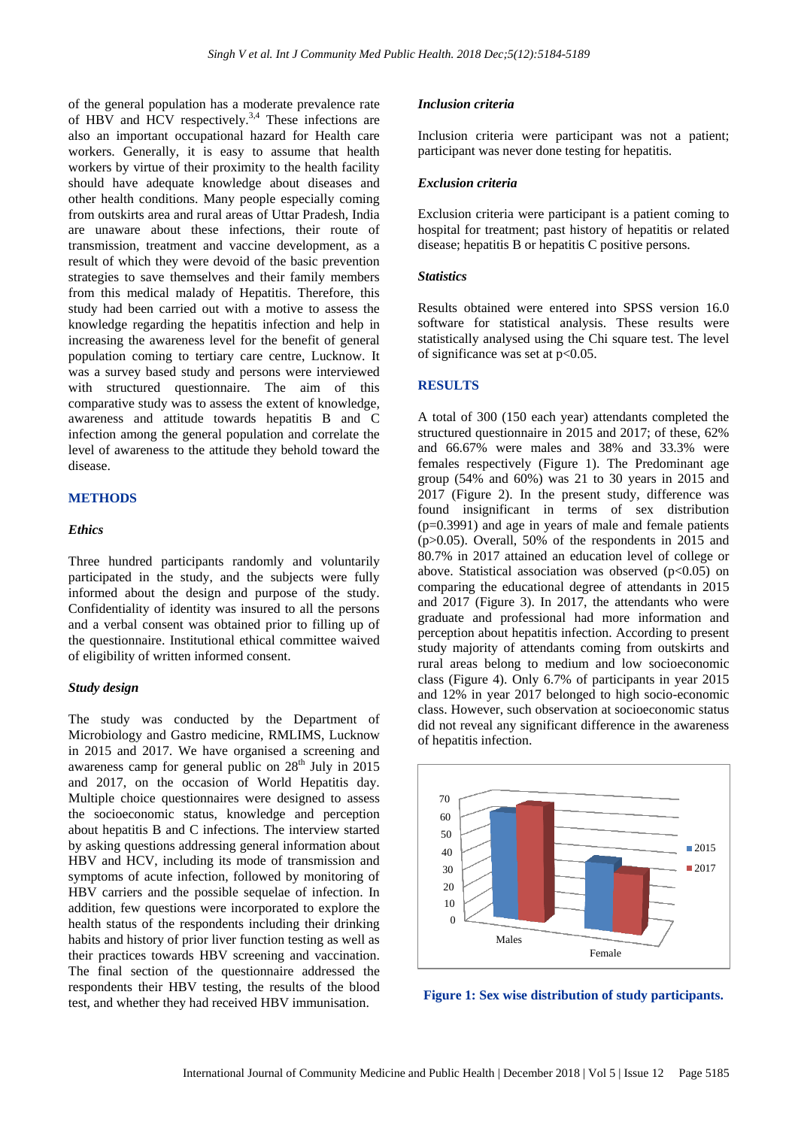of the general population has a moderate prevalence rate of HBV and HCV respectively.<sup>3,4</sup> These infections are also an important occupational hazard for Health care workers. Generally, it is easy to assume that health workers by virtue of their proximity to the health facility should have adequate knowledge about diseases and other health conditions. Many people especially coming from outskirts area and rural areas of Uttar Pradesh, India are unaware about these infections, their route of transmission, treatment and vaccine development, as a result of which they were devoid of the basic prevention strategies to save themselves and their family members from this medical malady of Hepatitis. Therefore, this study had been carried out with a motive to assess the knowledge regarding the hepatitis infection and help in increasing the awareness level for the benefit of general population coming to tertiary care centre, Lucknow. It was a survey based study and persons were interviewed with structured questionnaire. The aim of this comparative study was to assess the extent of knowledge, awareness and attitude towards hepatitis B and C infection among the general population and correlate the level of awareness to the attitude they behold toward the disease.

## **METHODS**

#### *Ethics*

Three hundred participants randomly and voluntarily participated in the study, and the subjects were fully informed about the design and purpose of the study. Confidentiality of identity was insured to all the persons and a verbal consent was obtained prior to filling up of the questionnaire. Institutional ethical committee waived of eligibility of written informed consent.

#### *Study design*

The study was conducted by the Department of Microbiology and Gastro medicine, RMLIMS, Lucknow in 2015 and 2017. We have organised a screening and awareness camp for general public on  $28<sup>th</sup>$  July in 2015 and 2017, on the occasion of World Hepatitis day. Multiple choice questionnaires were designed to assess the socioeconomic status, knowledge and perception about hepatitis B and C infections. The interview started by asking questions addressing general information about HBV and HCV, including its mode of transmission and symptoms of acute infection, followed by monitoring of HBV carriers and the possible sequelae of infection. In addition, few questions were incorporated to explore the health status of the respondents including their drinking habits and history of prior liver function testing as well as their practices towards HBV screening and vaccination. The final section of the questionnaire addressed the respondents their HBV testing, the results of the blood test, and whether they had received HBV immunisation.

#### *Inclusion criteria*

Inclusion criteria were participant was not a patient; participant was never done testing for hepatitis.

#### *Exclusion criteria*

Exclusion criteria were participant is a patient coming to hospital for treatment; past history of hepatitis or related disease; hepatitis B or hepatitis C positive persons.

#### *Statistics*

Results obtained were entered into SPSS version 16.0 software for statistical analysis. These results were statistically analysed using the Chi square test. The level of significance was set at  $p<0.05$ .

#### **RESULTS**

A total of 300 (150 each year) attendants completed the structured questionnaire in 2015 and 2017; of these, 62% and 66.67% were males and 38% and 33.3% were females respectively (Figure 1). The Predominant age group (54% and 60%) was 21 to 30 years in 2015 and 2017 (Figure 2). In the present study, difference was found insignificant in terms of sex distribution (p=0.3991) and age in years of male and female patients (p>0.05). Overall, 50% of the respondents in 2015 and 80.7% in 2017 attained an education level of college or above. Statistical association was observed  $(p<0.05)$  on comparing the educational degree of attendants in 2015 and 2017 (Figure 3). In 2017, the attendants who were graduate and professional had more information and perception about hepatitis infection. According to present study majority of attendants coming from outskirts and rural areas belong to medium and low socioeconomic class (Figure 4). Only 6.7% of participants in year 2015 and 12% in year 2017 belonged to high socio-economic class. However, such observation at socioeconomic status did not reveal any significant difference in the awareness of hepatitis infection.



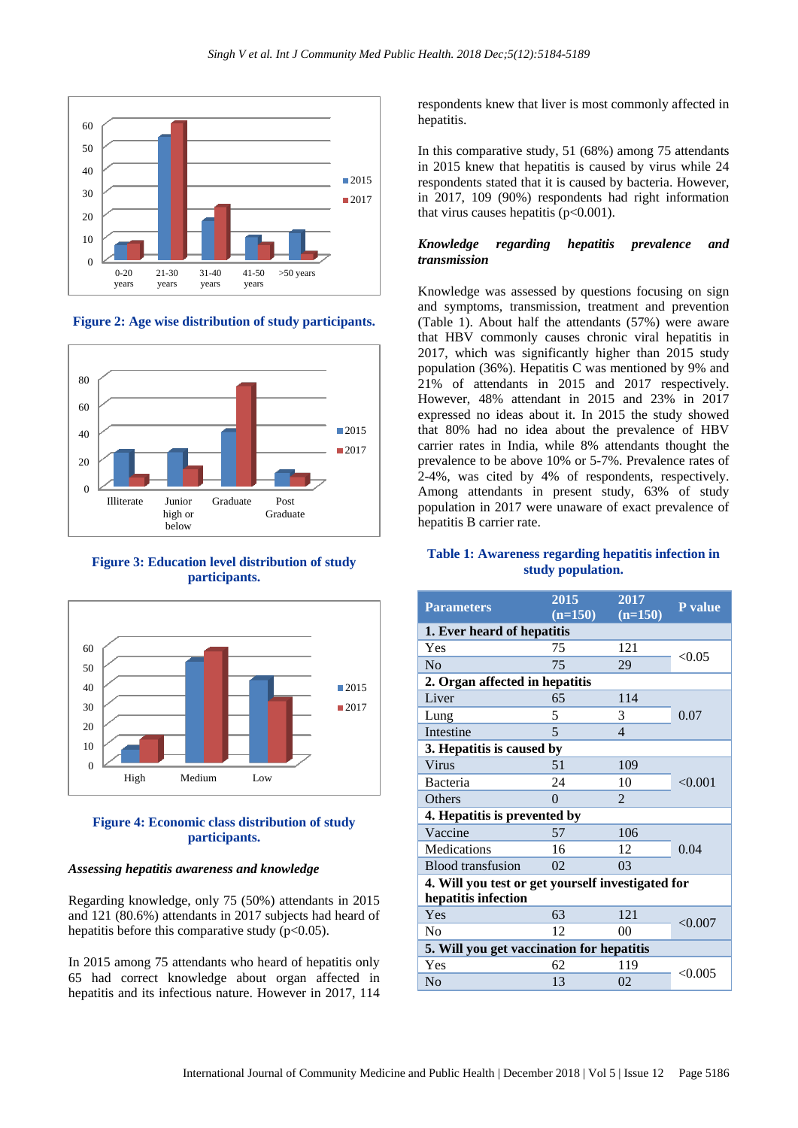

**Figure 2: Age wise distribution of study participants.**



**Figure 3: Education level distribution of study participants.**



# **Figure 4: Economic class distribution of study participants.**

### *Assessing hepatitis awareness and knowledge*

Regarding knowledge, only 75 (50%) attendants in 2015 and 121 (80.6%) attendants in 2017 subjects had heard of hepatitis before this comparative study  $(p<0.05)$ .

In 2015 among 75 attendants who heard of hepatitis only 65 had correct knowledge about organ affected in hepatitis and its infectious nature. However in 2017, 114 respondents knew that liver is most commonly affected in hepatitis.

In this comparative study, 51 (68%) among 75 attendants in 2015 knew that hepatitis is caused by virus while 24 respondents stated that it is caused by bacteria. However, in 2017, 109 (90%) respondents had right information that virus causes hepatitis  $(p<0.001)$ .

## *Knowledge regarding hepatitis prevalence and transmission*

Knowledge was assessed by questions focusing on sign and symptoms, transmission, treatment and prevention (Table 1). About half the attendants (57%) were aware that HBV commonly causes chronic viral hepatitis in 2017, which was significantly higher than 2015 study population (36%). Hepatitis C was mentioned by 9% and 21% of attendants in 2015 and 2017 respectively. However, 48% attendant in 2015 and 23% in 2017 expressed no ideas about it. In 2015 the study showed that 80% had no idea about the prevalence of HBV carrier rates in India, while 8% attendants thought the prevalence to be above 10% or 5-7%. Prevalence rates of 2-4%, was cited by 4% of respondents, respectively. Among attendants in present study, 63% of study population in 2017 were unaware of exact prevalence of hepatitis B carrier rate.

# **Table 1: Awareness regarding hepatitis infection in study population.**

| <b>Parameters</b>                                 | 2015<br>$(n=150)$ | 2017<br>$(n=150)$ | P value |  |  |
|---------------------------------------------------|-------------------|-------------------|---------|--|--|
| 1. Ever heard of hepatitis                        |                   |                   |         |  |  |
| Yes                                               | 75                | 121               | < 0.05  |  |  |
| No                                                | 75                | 29                |         |  |  |
| 2. Organ affected in hepatitis                    |                   |                   |         |  |  |
| Liver                                             | 65                | 114               |         |  |  |
| Lung                                              | 5                 | 3                 | 0.07    |  |  |
| <b>Intestine</b>                                  | 5                 | 4                 |         |  |  |
| 3. Hepatitis is caused by                         |                   |                   |         |  |  |
| Virus                                             | 51                | 109               |         |  |  |
| Bacteria                                          | 24                | 10                | < 0.001 |  |  |
| <b>Others</b>                                     | $\Omega$          | 2                 |         |  |  |
| 4. Hepatitis is prevented by                      |                   |                   |         |  |  |
| Vaccine                                           | 57                | 106               |         |  |  |
| Medications                                       | 16                | 12                | 0.04    |  |  |
| <b>Blood</b> transfusion                          | 02                | 03                |         |  |  |
| 4. Will you test or get yourself investigated for |                   |                   |         |  |  |
| hepatitis infection                               |                   |                   |         |  |  |
| Yes                                               | 63                | 121               | < 0.007 |  |  |
| N <sub>0</sub>                                    | 12                | 0 <sup>0</sup>    |         |  |  |
| 5. Will you get vaccination for hepatitis         |                   |                   |         |  |  |
| Yes                                               | 62                | 119               | < 0.005 |  |  |
| No                                                | 13                | 02                |         |  |  |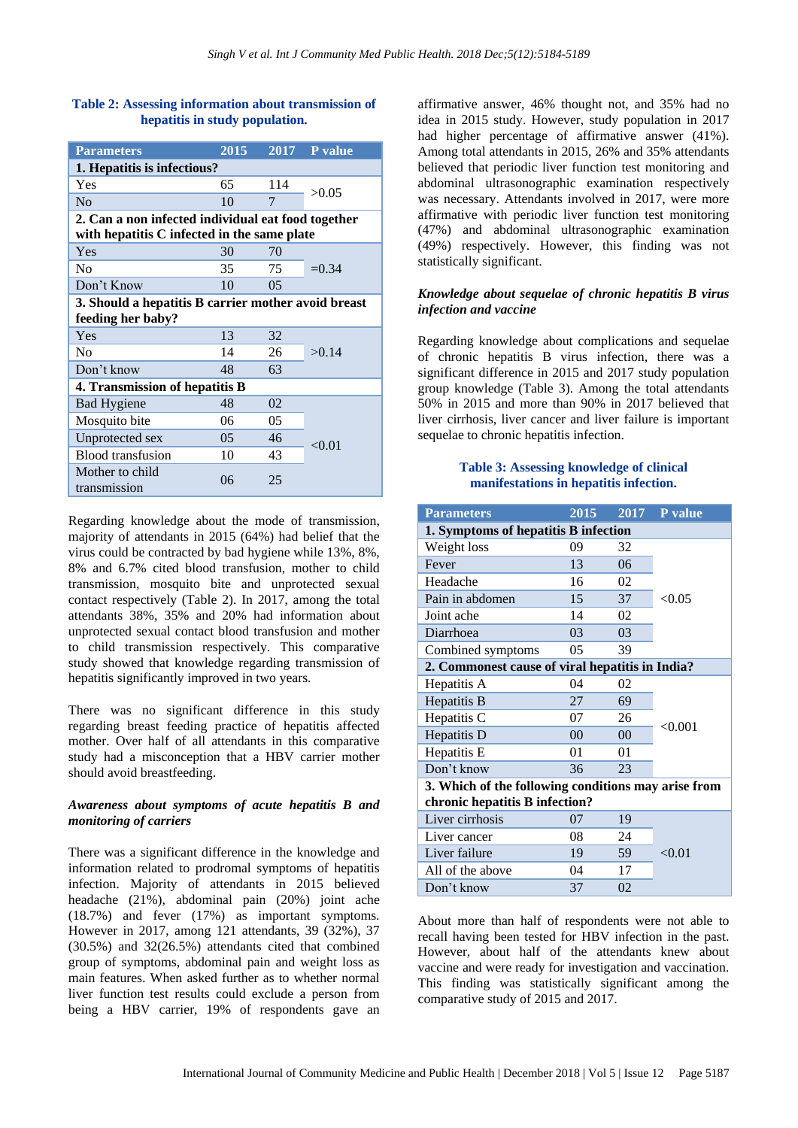# **Table 2: Assessing information about transmission of hepatitis in study population.**

| <b>Parameters</b>                                   | 2015           | 2017           | P value  |  |  |  |
|-----------------------------------------------------|----------------|----------------|----------|--|--|--|
| 1. Hepatitis is infectious?                         |                |                |          |  |  |  |
| Yes                                                 | 65             | 114            | >0.05    |  |  |  |
| N <sub>0</sub>                                      | 10             | 7              |          |  |  |  |
| 2. Can a non infected individual eat food together  |                |                |          |  |  |  |
| with hepatitis C infected in the same plate         |                |                |          |  |  |  |
| Yes                                                 | 30             | 70             | $= 0.34$ |  |  |  |
| N <sub>0</sub>                                      | 35             | 75             |          |  |  |  |
| Don't Know                                          | 10             | 0 <sub>5</sub> |          |  |  |  |
| 3. Should a hepatitis B carrier mother avoid breast |                |                |          |  |  |  |
| feeding her baby?                                   |                |                |          |  |  |  |
| Yes                                                 | 13             | 32             | >0.14    |  |  |  |
| N <sub>0</sub>                                      | 14             | 26             |          |  |  |  |
| Don't know                                          | 48             | 63             |          |  |  |  |
| 4. Transmission of hepatitis B                      |                |                |          |  |  |  |
| <b>Bad Hygiene</b>                                  | 48             | 02             | < 0.01   |  |  |  |
| Mosquito bite                                       | 06             | 05             |          |  |  |  |
| Unprotected sex                                     | 0 <sub>5</sub> | 46             |          |  |  |  |
| Blood transfusion                                   | 10             | 43             |          |  |  |  |
| Mother to child<br>transmission                     | 06             | 25             |          |  |  |  |

Regarding knowledge about the mode of transmission, majority of attendants in 2015 (64%) had belief that the virus could be contracted by bad hygiene while 13%, 8%, 8% and 6.7% cited blood transfusion, mother to child transmission, mosquito bite and unprotected sexual contact respectively (Table 2). In 2017, among the total attendants 38%, 35% and 20% had information about unprotected sexual contact blood transfusion and mother to child transmission respectively. This comparative study showed that knowledge regarding transmission of hepatitis significantly improved in two years.

There was no significant difference in this study regarding breast feeding practice of hepatitis affected mother. Over half of all attendants in this comparative study had a misconception that a HBV carrier mother should avoid breastfeeding.

## *Awareness about symptoms of acute hepatitis B and monitoring of carriers*

There was a significant difference in the knowledge and information related to prodromal symptoms of hepatitis infection. Majority of attendants in 2015 believed headache (21%), abdominal pain (20%) joint ache (18.7%) and fever (17%) as important symptoms. However in 2017, among 121 attendants, 39 (32%), 37 (30.5%) and 32(26.5%) attendants cited that combined group of symptoms, abdominal pain and weight loss as main features. When asked further as to whether normal liver function test results could exclude a person from being a HBV carrier, 19% of respondents gave an affirmative answer, 46% thought not, and 35% had no idea in 2015 study. However, study population in 2017 had higher percentage of affirmative answer (41%). Among total attendants in 2015, 26% and 35% attendants believed that periodic liver function test monitoring and abdominal ultrasonographic examination respectively was necessary. Attendants involved in 2017, were more affirmative with periodic liver function test monitoring (47%) and abdominal ultrasonographic examination (49%) respectively. However, this finding was not statistically significant.

# *Knowledge about sequelae of chronic hepatitis B virus infection and vaccine*

Regarding knowledge about complications and sequelae of chronic hepatitis B virus infection, there was a significant difference in 2015 and 2017 study population group knowledge (Table 3). Among the total attendants 50% in 2015 and more than 90% in 2017 believed that liver cirrhosis, liver cancer and liver failure is important sequelae to chronic hepatitis infection.

## **Table 3: Assessing knowledge of clinical manifestations in hepatitis infection.**

| <b>Parameters</b>                                   | 2015           | 2017           | P value |  |  |  |
|-----------------------------------------------------|----------------|----------------|---------|--|--|--|
| 1. Symptoms of hepatitis B infection                |                |                |         |  |  |  |
| Weight loss                                         | 09             | 32             | < 0.05  |  |  |  |
| Fever                                               | 13             | 06             |         |  |  |  |
| Headache                                            | 16             | 02             |         |  |  |  |
| Pain in abdomen                                     | 15             | 37             |         |  |  |  |
| Joint ache                                          | 14             | 02             |         |  |  |  |
| Diarrhoea                                           | 03             | 03             |         |  |  |  |
| Combined symptoms                                   | 0 <sub>5</sub> | 39             |         |  |  |  |
| 2. Commonest cause of viral hepatitis in India?     |                |                |         |  |  |  |
| Hepatitis A                                         | 04             | 02             | < 0.001 |  |  |  |
| Hepatitis B                                         | 27             | 69             |         |  |  |  |
| Hepatitis C                                         | 07             | 26             |         |  |  |  |
| Hepatitis D                                         | 0 <sup>0</sup> | 0 <sup>0</sup> |         |  |  |  |
| Hepatitis E                                         | 01             | 01             |         |  |  |  |
| Don't know                                          | 36             | 23             |         |  |  |  |
| 3. Which of the following conditions may arise from |                |                |         |  |  |  |
| chronic hepatitis B infection?                      |                |                |         |  |  |  |
| Liver cirrhosis                                     | 07             | 19             | < 0.01  |  |  |  |
| Liver cancer                                        | 08             | 24             |         |  |  |  |
| Liver failure                                       | 19             | 59             |         |  |  |  |
| All of the above                                    | 04             | 17             |         |  |  |  |
| Don't know                                          | 37             | 02             |         |  |  |  |

About more than half of respondents were not able to recall having been tested for HBV infection in the past. However, about half of the attendants knew about vaccine and were ready for investigation and vaccination. This finding was statistically significant among the comparative study of 2015 and 2017.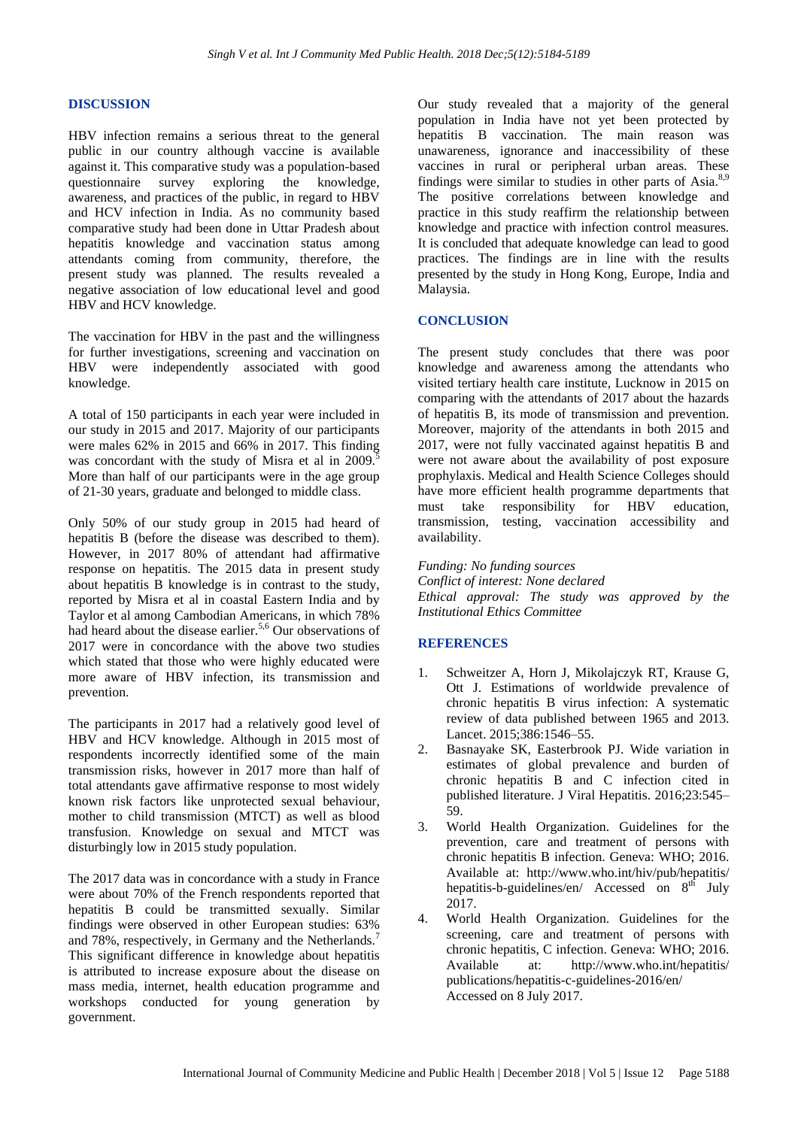### **DISCUSSION**

HBV infection remains a serious threat to the general public in our country although vaccine is available against it. This comparative study was a population-based questionnaire survey exploring the knowledge, awareness, and practices of the public, in regard to HBV and HCV infection in India. As no community based comparative study had been done in Uttar Pradesh about hepatitis knowledge and vaccination status among attendants coming from community, therefore, the present study was planned. The results revealed a negative association of low educational level and good HBV and HCV knowledge.

The vaccination for HBV in the past and the willingness for further investigations, screening and vaccination on HBV were independently associated with good knowledge.

A total of 150 participants in each year were included in our study in 2015 and 2017. Majority of our participants were males 62% in 2015 and 66% in 2017. This finding was concordant with the study of Misra et al in 2009.<sup>5</sup> More than half of our participants were in the age group of 21-30 years, graduate and belonged to middle class.

Only 50% of our study group in 2015 had heard of hepatitis B (before the disease was described to them). However, in 2017 80% of attendant had affirmative response on hepatitis. The 2015 data in present study about hepatitis B knowledge is in contrast to the study, reported by Misra et al in coastal Eastern India and by Taylor et al among Cambodian Americans, in which 78% had heard about the disease earlier.<sup>5,6</sup> Our observations of 2017 were in concordance with the above two studies which stated that those who were highly educated were more aware of HBV infection, its transmission and prevention.

The participants in 2017 had a relatively good level of HBV and HCV knowledge. Although in 2015 most of respondents incorrectly identified some of the main transmission risks, however in 2017 more than half of total attendants gave affirmative response to most widely known risk factors like unprotected sexual behaviour, mother to child transmission (MTCT) as well as blood transfusion. Knowledge on sexual and MTCT was disturbingly low in 2015 study population.

The 2017 data was in concordance with a study in France were about 70% of the French respondents reported that hepatitis B could be transmitted sexually. Similar findings were observed in other European studies: 63% and 78%, respectively, in Germany and the Netherlands.<sup>7</sup> This significant difference in knowledge about hepatitis is attributed to increase exposure about the disease on mass media, internet, health education programme and workshops conducted for young generation by government.

Our study revealed that a majority of the general population in India have not yet been protected by hepatitis B vaccination. The main reason was unawareness, ignorance and inaccessibility of these vaccines in rural or peripheral urban areas. These findings were similar to studies in other parts of Asia. $8,9$ The positive correlations between knowledge and practice in this study reaffirm the relationship between knowledge and practice with infection control measures. It is concluded that adequate knowledge can lead to good practices. The findings are in line with the results presented by the study in Hong Kong, Europe, India and Malaysia.

# **CONCLUSION**

The present study concludes that there was poor knowledge and awareness among the attendants who visited tertiary health care institute, Lucknow in 2015 on comparing with the attendants of 2017 about the hazards of hepatitis B, its mode of transmission and prevention. Moreover, majority of the attendants in both 2015 and 2017, were not fully vaccinated against hepatitis B and were not aware about the availability of post exposure prophylaxis. Medical and Health Science Colleges should have more efficient health programme departments that must take responsibility for HBV education, transmission, testing, vaccination accessibility and availability.

*Funding: No funding sources Conflict of interest: None declared Ethical approval: The study was approved by the Institutional Ethics Committee*

# **REFERENCES**

- 1. Schweitzer A, Horn J, Mikolajczyk RT, Krause G, Ott J. Estimations of worldwide prevalence of chronic hepatitis B virus infection: A systematic review of data published between 1965 and 2013. Lancet. 2015;386:1546–55.
- 2. Basnayake SK, Easterbrook PJ. Wide variation in estimates of global prevalence and burden of chronic hepatitis B and C infection cited in published literature. J Viral Hepatitis. 2016;23:545– 59.
- 3. World Health Organization. Guidelines for the prevention, care and treatment of persons with chronic hepatitis B infection. Geneva: WHO; 2016. Available at: http://www.who.int/hiv/pub/hepatitis/ hepatitis-b-guidelines/en/ Accessed on  $8^{th}$  July 2017.
- 4. World Health Organization. Guidelines for the screening, care and treatment of persons with chronic hepatitis, C infection. Geneva: WHO; 2016. Available at: http://www.who.int/hepatitis/ publications/hepatitis-c-guidelines-2016/en/ Accessed on 8 July 2017.